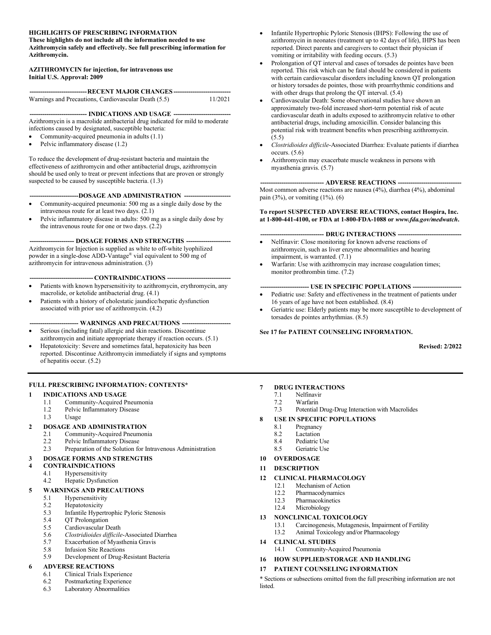### **HIGHLIGHTS OF PRESCRIBING INFORMATION**

**These highlights do not include all the information needed to use Azithromycin safely and effectively. See full prescribing information for Azithromycin.** 

#### **AZITHROMYCIN for injection, for intravenous use Initial U.S. Approval: 2009**

| -----------------------------RECENT MAJOR CHANGES------------------------------ |         |
|---------------------------------------------------------------------------------|---------|
| Warnings and Precautions, Cardiovascular Death (5.5)                            | 11/2021 |

**--------------------------- INDICATIONS AND USAGE ---------------------------**

Azithromycin is a macrolide antibacterial drug indicated for mild to moderate infections caused by designated, susceptible bacteria:

- Community-acquired pneumonia in adults (1.1)
- Pelvic inflammatory disease (1.2)

To reduce the development of drug-resistant bacteria and maintain the effectiveness of azithromycin and other antibacterial drugs, azithromycin should be used only to treat or prevent infections that are proven or strongly suspected to be caused by susceptible bacteria. (1.3)

#### **-----------------------DOSAGE AND ADMINISTRATION ----------------------**

- Community-acquired pneumonia: 500 mg as a single daily dose by the intravenous route for at least two days. (2.1)
- Pelvic inflammatory disease in adults: 500 mg as a single daily dose by the intravenous route for one or two days. (2.2)

**--------------------- DOSAGE FORMS AND STRENGTHS ---------------------**

Azithromycin for Injection is supplied as white to off-white lyophilized powder in a single-dose ADD-Vantage® vial equivalent to 500 mg of azithromycin for intravenous administration. (3)

**------------------------------ CONTRAINDICATIONS ------------------------------**

- Patients with known hypersensitivity to azithromycin, erythromycin, any macrolide, or ketolide antibacterial drug. (4.1)
- Patients with a history of cholestatic jaundice/hepatic dysfunction associated with prior use of azithromycin. (4.2)

#### -- WARNINGS AND PRECAUTIONS ---

- Serious (including fatal) allergic and skin reactions. Discontinue azithromycin and initiate appropriate therapy if reaction occurs. (5.1)
- Hepatotoxicity: Severe and sometimes fatal, hepatoxicity has been reported. Discontinue Azithromycin immediately if signs and symptoms of hepatitis occur. (5.2)

### **FULL PRESCRIBING INFORMATION: CONTENTS\***

### **1 INDICATIONS AND USAGE**

- 1.1 Community-Acquired Pneumonia
- 1.2 Pelvic Inflammatory Disease
- 1.3 Usage

### **2 DOSAGE AND ADMINISTRATION**

- 2.1 Community-Acquired Pneumonia
- 2.2 Pelvic Inflammatory Disease
- 2.3 Preparation of the Solution for Intravenous Administration

### **3 DOSAGE FORMS AND STRENGTHS**

- **4 CONTRAINDICATIONS**
	- 4.1 Hypersensitivity
	- 4.2 Hepatic Dysfunction

### **5 WARNINGS AND PRECAUTIONS**

- 5.1 Hypersensitivity
- 5.2 Hepatotoxicity<br>5.3 Infantile Hyper
- 5.3 Infantile Hypertrophic Pyloric Stenosis
- 5.4 QT Prolongation
- 5.5 Cardiovascular Death
- 5.6 *Clostridioides difficile*-Associated Diarrhea
- Exacerbation of Myasthenia Gravis
- 5.8 Infusion Site Reactions
- 5.9 Development of Drug-Resistant Bacteria

### **6 ADVERSE REACTIONS**

- 6.1 Clinical Trials Experience
- 6.2 Postmarketing Experience
- 6.3 Laboratory Abnormalities
- Infantile Hypertrophic Pyloric Stenosis (IHPS): Following the use of azithromycin in neonates (treatment up to 42 days of life), IHPS has been reported. Direct parents and caregivers to contact their physician if vomiting or irritability with feeding occurs. (5.3)
- Prolongation of QT interval and cases of torsades de pointes have been reported. This risk which can be fatal should be considered in patients with certain cardiovascular disorders including known QT prolongation or history torsades de pointes, those with proarrhythmic conditions and with other drugs that prolong the QT interval. (5.4)
- Cardiovascular Death: Some observational studies have shown an approximately two-fold increased short-term potential risk of acute cardiovascular death in adults exposed to azithromycin relative to other antibacterial drugs, including amoxicillin. Consider balancing this potential risk with treatment benefits when prescribing azithromycin. (5.5)
- *Clostridioides difficile*-Associated Diarrhea: Evaluate patients if diarrhea occurs. (5.6)
- Azithromycin may exacerbate muscle weakness in persons with myasthenia gravis. (5.7)

#### **------------------------------ ADVERSE REACTIONS ------------------------------**

Most common adverse reactions are nausea (4%), diarrhea (4%), abdominal pain (3%), or vomiting (1%). (6)

#### **To report SUSPECTED ADVERSE REACTIONS, contact Hospira, Inc. at 1-800-441-4100, or FDA at 1-800-FDA-1088 or** *www.fda.gov/medwatch***.**

#### **------------------------------ DRUG INTERACTIONS ------------------------------**

- Nelfinavir: Close monitoring for known adverse reactions of azithromycin, such as liver enzyme abnormalities and hearing impairment, is warranted. (7.1)
- Warfarin: Use with azithromycin may increase coagulation times; monitor prothrombin time. (7.2)

### **----------------------- USE IN SPECIFIC POPULATIONS -----------------------**

- Pediatric use: Safety and effectiveness in the treatment of patients under 16 years of age have not been established. (8.4)
- Geriatric use: Elderly patients may be more susceptible to development of torsades de pointes arrhythmias. (8.5)

### **See 17 for PATIENT COUNSELING INFORMATION.**

**Revised: 2/2022**

### **7 DRUG INTERACTIONS**

- 7.1 Nelfinavir
- 7.2 Warfarin
- 7.3 Potential Drug-Drug Interaction with Macrolides
- **8 USE IN SPECIFIC POPULATIONS**
	- 8.1 Pregnancy
	- 8.2 Lactation
	- 8.4 Pediatric Use
	- 8.5 Geriatric Use
- **10 OVERDOSAGE**
- **11 DESCRIPTION**

#### **12 CLINICAL PHARMACOLOGY**

- 12.1 Mechanism of Action<br>12.2 Pharmacodynamics
- Pharmacodynamics
- 12.3 Pharmacokinetics
- 12.4 Microbiology

### **13 NONCLINICAL TOXICOLOGY**

- 13.1 Carcinogenesis, Mutagenesis, Impairment of Fertility
- 13.2 Animal Toxicology and/or Pharmacology
- **14 CLINICAL STUDIES**
- 14.1 Community-Acquired Pneumonia
- **16 HOW SUPPLIED/STORAGE AND HANDLING**

#### **17 PATIENT COUNSELING INFORMATION**

\* Sections or subsections omitted from the full prescribing information are not listed.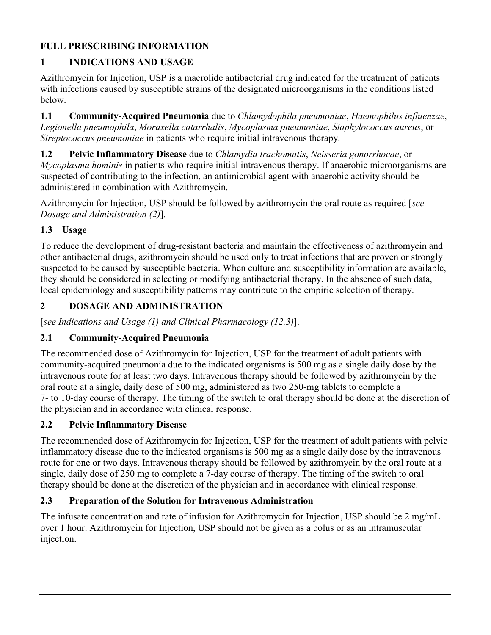# **FULL PRESCRIBING INFORMATION**

# **1 INDICATIONS AND USAGE**

Azithromycin for Injection, USP is a macrolide antibacterial drug indicated for the treatment of patients with infections caused by susceptible strains of the designated microorganisms in the conditions listed below.

**1.1 Community-Acquired Pneumonia** due to *Chlamydophila pneumoniae*, *Haemophilus influenzae*, *Legionella pneumophila*, *Moraxella catarrhalis*, *Mycoplasma pneumoniae*, *Staphylococcus aureus*, or *Streptococcus pneumoniae* in patients who require initial intravenous therapy.

**1.2 Pelvic Inflammatory Disease** due to *Chlamydia trachomatis*, *Neisseria gonorrhoeae*, or *Mycoplasma hominis* in patients who require initial intravenous therapy. If anaerobic microorganisms are suspected of contributing to the infection, an antimicrobial agent with anaerobic activity should be administered in combination with Azithromycin.

Azithromycin for Injection, USP should be followed by azithromycin the oral route as required [*see Dosage and Administration (2)*]*.*

# **1.3 Usage**

To reduce the development of drug-resistant bacteria and maintain the effectiveness of azithromycin and other antibacterial drugs, azithromycin should be used only to treat infections that are proven or strongly suspected to be caused by susceptible bacteria. When culture and susceptibility information are available, they should be considered in selecting or modifying antibacterial therapy. In the absence of such data, local epidemiology and susceptibility patterns may contribute to the empiric selection of therapy.

# **2 DOSAGE AND ADMINISTRATION**

[*see Indications and Usage (1) and Clinical Pharmacology (12.3)*].

# **2.1 Community-Acquired Pneumonia**

The recommended dose of Azithromycin for Injection, USP for the treatment of adult patients with community-acquired pneumonia due to the indicated organisms is 500 mg as a single daily dose by the intravenous route for at least two days. Intravenous therapy should be followed by azithromycin by the oral route at a single, daily dose of 500 mg, administered as two 250-mg tablets to complete a 7- to 10-day course of therapy. The timing of the switch to oral therapy should be done at the discretion of the physician and in accordance with clinical response.

# **2.2 Pelvic Inflammatory Disease**

The recommended dose of Azithromycin for Injection, USP for the treatment of adult patients with pelvic inflammatory disease due to the indicated organisms is 500 mg as a single daily dose by the intravenous route for one or two days. Intravenous therapy should be followed by azithromycin by the oral route at a single, daily dose of 250 mg to complete a 7-day course of therapy. The timing of the switch to oral therapy should be done at the discretion of the physician and in accordance with clinical response.

# **2.3 Preparation of the Solution for Intravenous Administration**

The infusate concentration and rate of infusion for Azithromycin for Injection, USP should be 2 mg/mL over 1 hour. Azithromycin for Injection, USP should not be given as a bolus or as an intramuscular injection.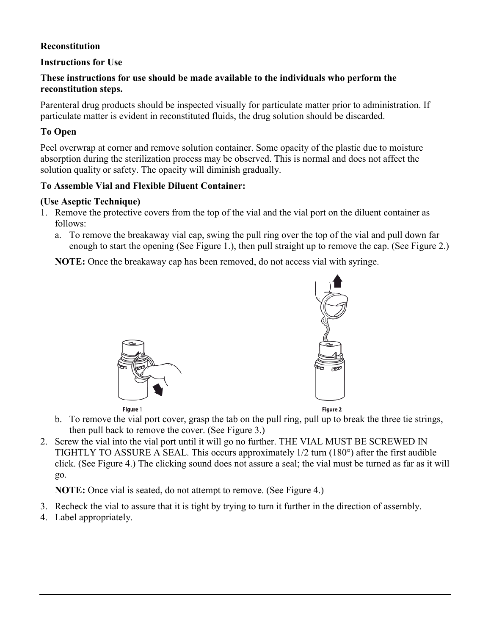## **Reconstitution**

## **Instructions for Use**

### **These instructions for use should be made available to the individuals who perform the reconstitution steps.**

Parenteral drug products should be inspected visually for particulate matter prior to administration. If particulate matter is evident in reconstituted fluids, the drug solution should be discarded.

## **To Open**

Peel overwrap at corner and remove solution container. Some opacity of the plastic due to moisture absorption during the sterilization process may be observed. This is normal and does not affect the solution quality or safety. The opacity will diminish gradually.

## **To Assemble Vial and Flexible Diluent Container:**

### **(Use Aseptic Technique)**

- 1. Remove the protective covers from the top of the vial and the vial port on the diluent container as follows:
	- a. To remove the breakaway vial cap, swing the pull ring over the top of the vial and pull down far enough to start the opening (See Figure 1.), then pull straight up to remove the cap. (See Figure 2.)

**NOTE:** Once the breakaway cap has been removed, do not access vial with syringe.





Figure 2

- b. To remove the vial port cover, grasp the tab on the pull ring, pull up to break the three tie strings, then pull back to remove the cover. (See Figure 3.)
- 2. Screw the vial into the vial port until it will go no further. THE VIAL MUST BE SCREWED IN TIGHTLY TO ASSURE A SEAL. This occurs approximately 1/2 turn (180°) after the first audible click. (See Figure 4.) The clicking sound does not assure a seal; the vial must be turned as far as it will go.

**NOTE:** Once vial is seated, do not attempt to remove. (See Figure 4.)

- 3. Recheck the vial to assure that it is tight by trying to turn it further in the direction of assembly.
- 4. Label appropriately.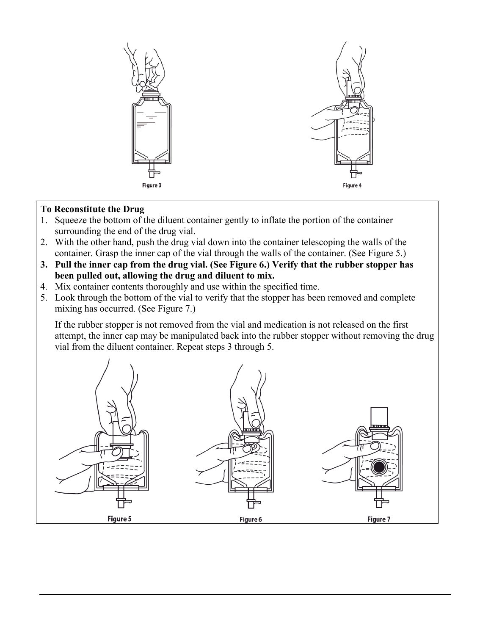

## **To Reconstitute the Drug**

- 1. Squeeze the bottom of the diluent container gently to inflate the portion of the container surrounding the end of the drug vial.
- 2. With the other hand, push the drug vial down into the container telescoping the walls of the container. Grasp the inner cap of the vial through the walls of the container. (See Figure 5.)
- **3. Pull the inner cap from the drug vial. (See Figure 6.) Verify that the rubber stopper has been pulled out, allowing the drug and diluent to mix.**
- 4. Mix container contents thoroughly and use within the specified time.
- 5. Look through the bottom of the vial to verify that the stopper has been removed and complete mixing has occurred. (See Figure 7.)

If the rubber stopper is not removed from the vial and medication is not released on the first attempt, the inner cap may be manipulated back into the rubber stopper without removing the drug vial from the diluent container. Repeat steps 3 through 5.

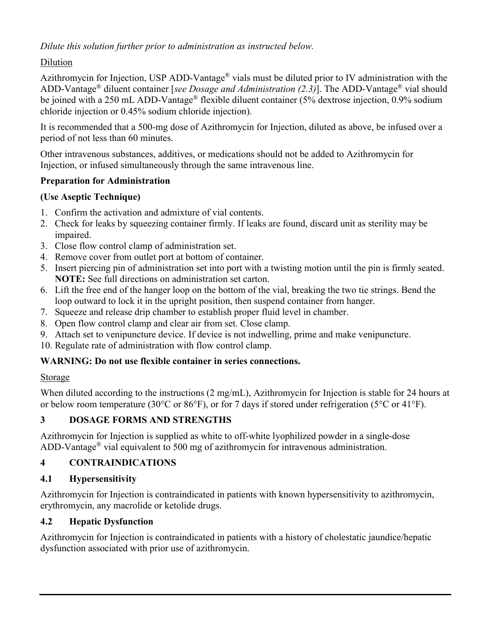*Dilute this solution further prior to administration as instructed below.*

# Dilution

Azithromycin for Injection, USP ADD-Vantage® vials must be diluted prior to IV administration with the ADD-Vantage® diluent container [*see Dosage and Administration (2.3)*]. The ADD-Vantage® vial should be joined with a 250 mL ADD-Vantage® flexible diluent container (5% dextrose injection, 0.9% sodium chloride injection or 0.45% sodium chloride injection).

It is recommended that a 500-mg dose of Azithromycin for Injection, diluted as above, be infused over a period of not less than 60 minutes.

Other intravenous substances, additives, or medications should not be added to Azithromycin for Injection, or infused simultaneously through the same intravenous line.

# **Preparation for Administration**

## **(Use Aseptic Technique)**

- 1. Confirm the activation and admixture of vial contents.
- 2. Check for leaks by squeezing container firmly. If leaks are found, discard unit as sterility may be impaired.
- 3. Close flow control clamp of administration set.
- 4. Remove cover from outlet port at bottom of container.
- 5. Insert piercing pin of administration set into port with a twisting motion until the pin is firmly seated. **NOTE:** See full directions on administration set carton.
- 6. Lift the free end of the hanger loop on the bottom of the vial, breaking the two tie strings. Bend the loop outward to lock it in the upright position, then suspend container from hanger.
- 7. Squeeze and release drip chamber to establish proper fluid level in chamber.
- 8. Open flow control clamp and clear air from set. Close clamp.
- 9. Attach set to venipuncture device. If device is not indwelling, prime and make venipuncture.
- 10. Regulate rate of administration with flow control clamp.

# **WARNING: Do not use flexible container in series connections.**

## Storage

When diluted according to the instructions (2 mg/mL), Azithromycin for Injection is stable for 24 hours at or below room temperature (30°C or 86°F), or for 7 days if stored under refrigeration (5°C or 41°F).

# **3 DOSAGE FORMS AND STRENGTHS**

Azithromycin for Injection is supplied as white to off-white lyophilized powder in a single-dose ADD-Vantage® vial equivalent to 500 mg of azithromycin for intravenous administration.

# **4 CONTRAINDICATIONS**

# **4.1 Hypersensitivity**

Azithromycin for Injection is contraindicated in patients with known hypersensitivity to azithromycin, erythromycin, any macrolide or ketolide drugs.

# **4.2 Hepatic Dysfunction**

Azithromycin for Injection is contraindicated in patients with a history of cholestatic jaundice/hepatic dysfunction associated with prior use of azithromycin.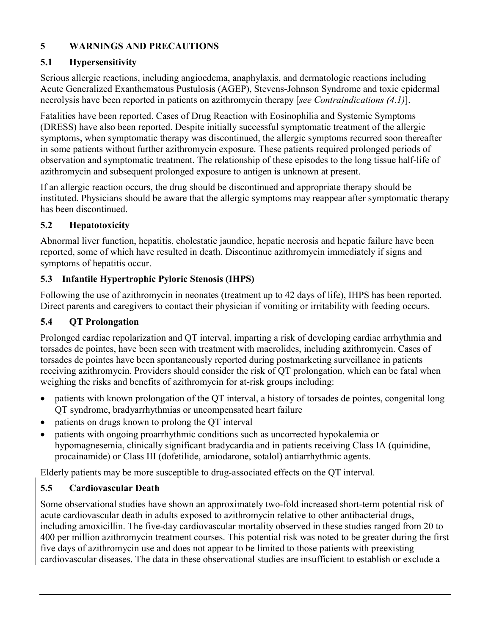# **5 WARNINGS AND PRECAUTIONS**

# **5.1 Hypersensitivity**

Serious allergic reactions, including angioedema, anaphylaxis, and dermatologic reactions including Acute Generalized Exanthematous Pustulosis (AGEP), Stevens-Johnson Syndrome and toxic epidermal necrolysis have been reported in patients on azithromycin therapy [*see Contraindications (4.1)*].

Fatalities have been reported. Cases of Drug Reaction with Eosinophilia and Systemic Symptoms (DRESS) have also been reported. Despite initially successful symptomatic treatment of the allergic symptoms, when symptomatic therapy was discontinued, the allergic symptoms recurred soon thereafter in some patients without further azithromycin exposure. These patients required prolonged periods of observation and symptomatic treatment. The relationship of these episodes to the long tissue half-life of azithromycin and subsequent prolonged exposure to antigen is unknown at present.

If an allergic reaction occurs, the drug should be discontinued and appropriate therapy should be instituted. Physicians should be aware that the allergic symptoms may reappear after symptomatic therapy has been discontinued.

# **5.2 Hepatotoxicity**

Abnormal liver function, hepatitis, cholestatic jaundice, hepatic necrosis and hepatic failure have been reported, some of which have resulted in death. Discontinue azithromycin immediately if signs and symptoms of hepatitis occur.

# **5.3 Infantile Hypertrophic Pyloric Stenosis (IHPS)**

Following the use of azithromycin in neonates (treatment up to 42 days of life), IHPS has been reported. Direct parents and caregivers to contact their physician if vomiting or irritability with feeding occurs.

# **5.4 QT Prolongation**

Prolonged cardiac repolarization and QT interval, imparting a risk of developing cardiac arrhythmia and torsades de pointes, have been seen with treatment with macrolides, including azithromycin. Cases of torsades de pointes have been spontaneously reported during postmarketing surveillance in patients receiving azithromycin. Providers should consider the risk of QT prolongation, which can be fatal when weighing the risks and benefits of azithromycin for at-risk groups including:

- patients with known prolongation of the QT interval, a history of torsades de pointes, congenital long QT syndrome, bradyarrhythmias or uncompensated heart failure
- patients on drugs known to prolong the QT interval
- patients with ongoing proarrhythmic conditions such as uncorrected hypokalemia or hypomagnesemia, clinically significant bradycardia and in patients receiving Class IA (quinidine, procainamide) or Class III (dofetilide, amiodarone, sotalol) antiarrhythmic agents.

Elderly patients may be more susceptible to drug-associated effects on the QT interval.

# **5.5 Cardiovascular Death**

Some observational studies have shown an approximately two-fold increased short-term potential risk of acute cardiovascular death in adults exposed to azithromycin relative to other antibacterial drugs, including amoxicillin. The five-day cardiovascular mortality observed in these studies ranged from 20 to 400 per million azithromycin treatment courses. This potential risk was noted to be greater during the first five days of azithromycin use and does not appear to be limited to those patients with preexisting cardiovascular diseases. The data in these observational studies are insufficient to establish or exclude a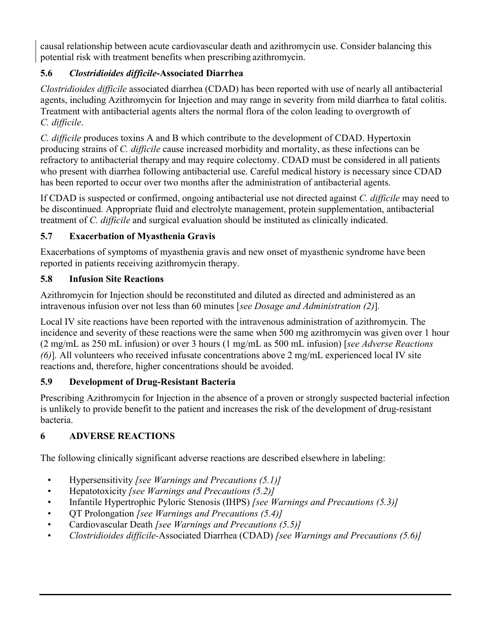causal relationship between acute cardiovascular death and azithromycin use. Consider balancing this potential risk with treatment benefits when prescribing azithromycin.

# **5.6** *Clostridioides difficile***-Associated Diarrhea**

*Clostridioides difficile* associated diarrhea (CDAD) has been reported with use of nearly all antibacterial agents, including Azithromycin for Injection and may range in severity from mild diarrhea to fatal colitis. Treatment with antibacterial agents alters the normal flora of the colon leading to overgrowth of *C. difficile*.

*C. difficile* produces toxins A and B which contribute to the development of CDAD. Hypertoxin producing strains of *C. difficile* cause increased morbidity and mortality, as these infections can be refractory to antibacterial therapy and may require colectomy. CDAD must be considered in all patients who present with diarrhea following antibacterial use. Careful medical history is necessary since CDAD has been reported to occur over two months after the administration of antibacterial agents.

If CDAD is suspected or confirmed, ongoing antibacterial use not directed against *C. difficile* may need to be discontinued. Appropriate fluid and electrolyte management, protein supplementation, antibacterial treatment of *C. difficile* and surgical evaluation should be instituted as clinically indicated.

# **5.7 Exacerbation of Myasthenia Gravis**

Exacerbations of symptoms of myasthenia gravis and new onset of myasthenic syndrome have been reported in patients receiving azithromycin therapy.

# **5.8 Infusion Site Reactions**

Azithromycin for Injection should be reconstituted and diluted as directed and administered as an intravenous infusion over not less than 60 minutes [*see Dosage and Administration (2)*]*.*

Local IV site reactions have been reported with the intravenous administration of azithromycin. The incidence and severity of these reactions were the same when 500 mg azithromycin was given over 1 hour (2 mg/mL as 250 mL infusion) or over 3 hours (1 mg/mL as 500 mL infusion) [*see Adverse Reactions (6)*]*.* All volunteers who received infusate concentrations above 2 mg/mL experienced local IV site reactions and, therefore, higher concentrations should be avoided.

# **5.9 Development of Drug-Resistant Bacteria**

Prescribing Azithromycin for Injection in the absence of a proven or strongly suspected bacterial infection is unlikely to provide benefit to the patient and increases the risk of the development of drug-resistant bacteria.

# **6 ADVERSE REACTIONS**

The following clinically significant adverse reactions are described elsewhere in labeling:

- Hypersensitivity *[see Warnings and Precautions (5.1)]*
- Hepatotoxicity *[see Warnings and Precautions (5.2)]*
- Infantile Hypertrophic Pyloric Stenosis (IHPS) *[see Warnings and Precautions (5.3)]*
- QT Prolongation *[see Warnings and Precautions (5.4)]*
- Cardiovascular Death *[see Warnings and Precautions (5.5)]*
- *Clostridioides difficile-*Associated Diarrhea (CDAD) *[see Warnings and Precautions (5.6)]*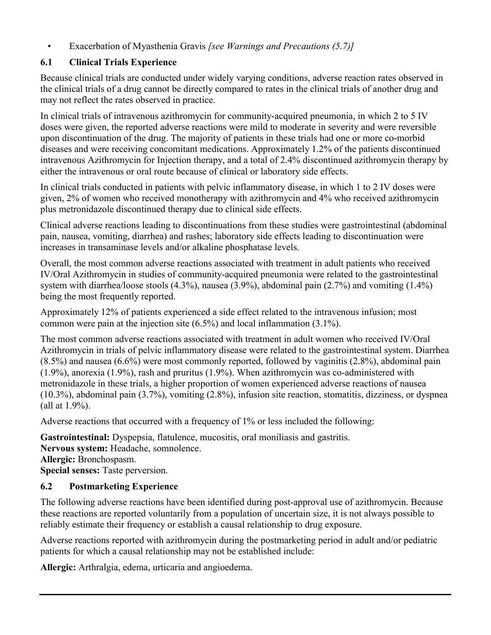• Exacerbation of Myasthenia Gravis *[see Warnings and Precautions (5.7)]*

## **6.1 Clinical Trials Experience**

Because clinical trials are conducted under widely varying conditions, adverse reaction rates observed in the clinical trials of a drug cannot be directly compared to rates in the clinical trials of another drug and may not reflect the rates observed in practice.

In clinical trials of intravenous azithromycin for community-acquired pneumonia, in which 2 to 5 IV doses were given, the reported adverse reactions were mild to moderate in severity and were reversible upon discontinuation of the drug. The majority of patients in these trials had one or more co-morbid diseases and were receiving concomitant medications. Approximately 1.2% of the patients discontinued intravenous Azithromycin for Injection therapy, and a total of 2.4% discontinued azithromycin therapy by either the intravenous or oral route because of clinical or laboratory side effects.

In clinical trials conducted in patients with pelvic inflammatory disease, in which 1 to 2 IV doses were given, 2% of women who received monotherapy with azithromycin and 4% who received azithromycin plus metronidazole discontinued therapy due to clinical side effects.

Clinical adverse reactions leading to discontinuations from these studies were gastrointestinal (abdominal pain, nausea, vomiting, diarrhea) and rashes; laboratory side effects leading to discontinuation were increases in transaminase levels and/or alkaline phosphatase levels.

Overall, the most common adverse reactions associated with treatment in adult patients who received IV/Oral Azithromycin in studies of community-acquired pneumonia were related to the gastrointestinal system with diarrhea/loose stools (4.3%), nausea (3.9%), abdominal pain (2.7%) and vomiting (1.4%) being the most frequently reported.

Approximately 12% of patients experienced a side effect related to the intravenous infusion; most common were pain at the injection site (6.5%) and local inflammation (3.1%).

The most common adverse reactions associated with treatment in adult women who received IV/Oral Azithromycin in trials of pelvic inflammatory disease were related to the gastrointestinal system. Diarrhea (8.5%) and nausea (6.6%) were most commonly reported, followed by vaginitis (2.8%), abdominal pain (1.9%), anorexia (1.9%), rash and pruritus (1.9%). When azithromycin was co-administered with metronidazole in these trials, a higher proportion of women experienced adverse reactions of nausea (10.3%), abdominal pain (3.7%), vomiting (2.8%), infusion site reaction, stomatitis, dizziness, or dyspnea (all at 1.9%).

Adverse reactions that occurred with a frequency of 1% or less included the following:

**Gastrointestinal:** Dyspepsia, flatulence, mucositis, oral moniliasis and gastritis. **Nervous system:** Headache, somnolence. **Allergic:** Bronchospasm. **Special senses:** Taste perversion.

# **6.2 Postmarketing Experience**

The following adverse reactions have been identified during post-approval use of azithromycin. Because these reactions are reported voluntarily from a population of uncertain size, it is not always possible to reliably estimate their frequency or establish a causal relationship to drug exposure.

Adverse reactions reported with azithromycin during the postmarketing period in adult and/or pediatric patients for which a causal relationship may not be established include:

**Allergic:** Arthralgia, edema, urticaria and angioedema.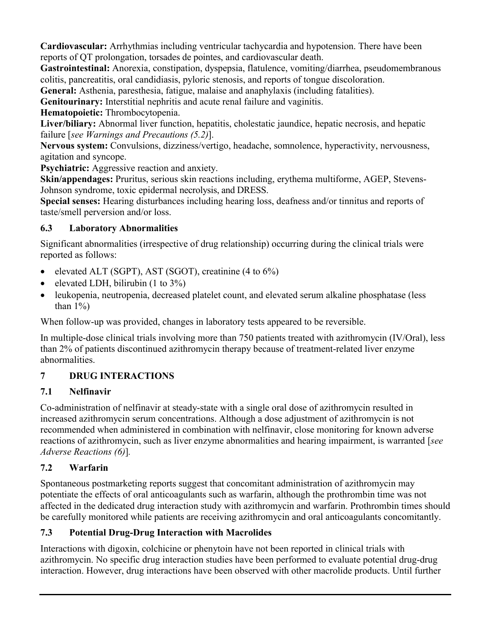**Cardiovascular:** Arrhythmias including ventricular tachycardia and hypotension. There have been reports of QT prolongation, torsades de pointes, and cardiovascular death.

**Gastrointestinal:** Anorexia, constipation, dyspepsia, flatulence, vomiting/diarrhea, pseudomembranous colitis, pancreatitis, oral candidiasis, pyloric stenosis, and reports of tongue discoloration.

**General:** Asthenia, paresthesia, fatigue, malaise and anaphylaxis (including fatalities).

**Genitourinary:** Interstitial nephritis and acute renal failure and vaginitis.

**Hematopoietic:** Thrombocytopenia.

**Liver/biliary:** Abnormal liver function, hepatitis, cholestatic jaundice, hepatic necrosis, and hepatic failure [*see Warnings and Precautions (5.2)*].

**Nervous system:** Convulsions, dizziness/vertigo, headache, somnolence, hyperactivity, nervousness, agitation and syncope.

**Psychiatric:** Aggressive reaction and anxiety.

**Skin/appendages:** Pruritus, serious skin reactions including, erythema multiforme, AGEP, Stevens-Johnson syndrome, toxic epidermal necrolysis, and DRESS.

**Special senses:** Hearing disturbances including hearing loss, deafness and/or tinnitus and reports of taste/smell perversion and/or loss.

# **6.3 Laboratory Abnormalities**

Significant abnormalities (irrespective of drug relationship) occurring during the clinical trials were reported as follows:

- elevated ALT (SGPT), AST (SGOT), creatinine  $(4 \text{ to } 6\%)$
- elevated LDH, bilirubin  $(1 \text{ to } 3\%)$
- leukopenia, neutropenia, decreased platelet count, and elevated serum alkaline phosphatase (less than  $1\%$ )

When follow-up was provided, changes in laboratory tests appeared to be reversible.

In multiple-dose clinical trials involving more than 750 patients treated with azithromycin (IV/Oral), less than 2% of patients discontinued azithromycin therapy because of treatment-related liver enzyme abnormalities.

# **7 DRUG INTERACTIONS**

# **7.1 Nelfinavir**

Co-administration of nelfinavir at steady-state with a single oral dose of azithromycin resulted in increased azithromycin serum concentrations. Although a dose adjustment of azithromycin is not recommended when administered in combination with nelfinavir, close monitoring for known adverse reactions of azithromycin, such as liver enzyme abnormalities and hearing impairment, is warranted [*see Adverse Reactions (6)*]*.*

# **7.2 Warfarin**

Spontaneous postmarketing reports suggest that concomitant administration of azithromycin may potentiate the effects of oral anticoagulants such as warfarin, although the prothrombin time was not affected in the dedicated drug interaction study with azithromycin and warfarin. Prothrombin times should be carefully monitored while patients are receiving azithromycin and oral anticoagulants concomitantly.

# **7.3 Potential Drug-Drug Interaction with Macrolides**

Interactions with digoxin, colchicine or phenytoin have not been reported in clinical trials with azithromycin. No specific drug interaction studies have been performed to evaluate potential drug-drug interaction. However, drug interactions have been observed with other macrolide products. Until further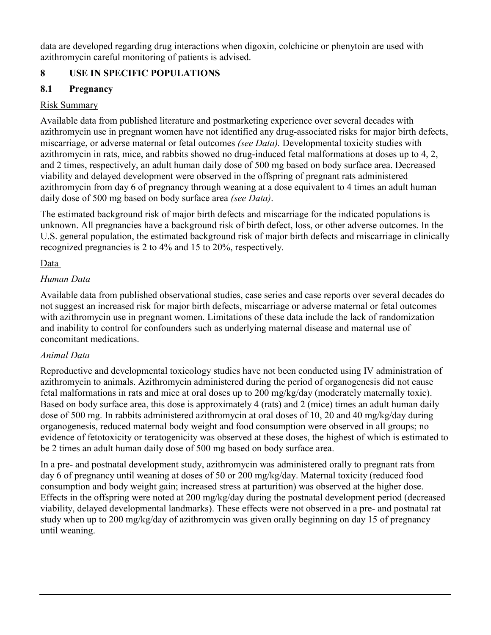data are developed regarding drug interactions when digoxin, colchicine or phenytoin are used with azithromycin careful monitoring of patients is advised.

# **8 USE IN SPECIFIC POPULATIONS**

# **8.1 Pregnancy**

# Risk Summary

Available data from published literature and postmarketing experience over several decades with azithromycin use in pregnant women have not identified any drug-associated risks for major birth defects, miscarriage, or adverse maternal or fetal outcomes *(see Data).* Developmental toxicity studies with azithromycin in rats, mice, and rabbits showed no drug-induced fetal malformations at doses up to 4, 2, and 2 times, respectively, an adult human daily dose of 500 mg based on body surface area. Decreased viability and delayed development were observed in the offspring of pregnant rats administered azithromycin from day 6 of pregnancy through weaning at a dose equivalent to 4 times an adult human daily dose of 500 mg based on body surface area *(see Data)*.

The estimated background risk of major birth defects and miscarriage for the indicated populations is unknown. All pregnancies have a background risk of birth defect, loss, or other adverse outcomes. In the U.S. general population, the estimated background risk of major birth defects and miscarriage in clinically recognized pregnancies is 2 to 4% and 15 to 20%, respectively.

# Data

# *Human Data*

Available data from published observational studies, case series and case reports over several decades do not suggest an increased risk for major birth defects, miscarriage or adverse maternal or fetal outcomes with azithromycin use in pregnant women. Limitations of these data include the lack of randomization and inability to control for confounders such as underlying maternal disease and maternal use of concomitant medications.

# *Animal Data*

Reproductive and developmental toxicology studies have not been conducted using IV administration of azithromycin to animals. Azithromycin administered during the period of organogenesis did not cause fetal malformations in rats and mice at oral doses up to 200 mg/kg/day (moderately maternally toxic). Based on body surface area, this dose is approximately 4 (rats) and 2 (mice) times an adult human daily dose of 500 mg. In rabbits administered azithromycin at oral doses of 10, 20 and 40 mg/kg/day during organogenesis, reduced maternal body weight and food consumption were observed in all groups; no evidence of fetotoxicity or teratogenicity was observed at these doses, the highest of which is estimated to be 2 times an adult human daily dose of 500 mg based on body surface area.

In a pre- and postnatal development study, azithromycin was administered orally to pregnant rats from day 6 of pregnancy until weaning at doses of 50 or 200 mg/kg/day. Maternal toxicity (reduced food consumption and body weight gain; increased stress at parturition) was observed at the higher dose. Effects in the offspring were noted at 200 mg/kg/day during the postnatal development period (decreased viability, delayed developmental landmarks). These effects were not observed in a pre- and postnatal rat study when up to 200 mg/kg/day of azithromycin was given orally beginning on day 15 of pregnancy until weaning.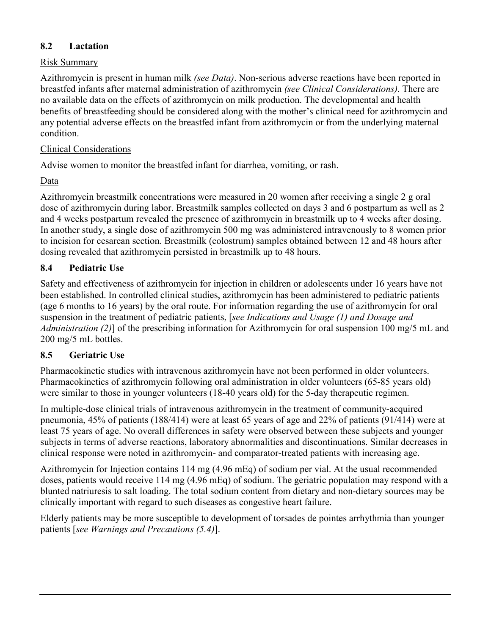## **8.2 Lactation**

## Risk Summary

Azithromycin is present in human milk *(see Data)*. Non-serious adverse reactions have been reported in breastfed infants after maternal administration of azithromycin *(see Clinical Considerations)*. There are no available data on the effects of azithromycin on milk production. The developmental and health benefits of breastfeeding should be considered along with the mother's clinical need for azithromycin and any potential adverse effects on the breastfed infant from azithromycin or from the underlying maternal condition.

## Clinical Considerations

Advise women to monitor the breastfed infant for diarrhea, vomiting, or rash.

Data

Azithromycin breastmilk concentrations were measured in 20 women after receiving a single 2 g oral dose of azithromycin during labor. Breastmilk samples collected on days 3 and 6 postpartum as well as 2 and 4 weeks postpartum revealed the presence of azithromycin in breastmilk up to 4 weeks after dosing. In another study, a single dose of azithromycin 500 mg was administered intravenously to 8 women prior to incision for cesarean section. Breastmilk (colostrum) samples obtained between 12 and 48 hours after dosing revealed that azithromycin persisted in breastmilk up to 48 hours.

# **8.4 Pediatric Use**

Safety and effectiveness of azithromycin for injection in children or adolescents under 16 years have not been established. In controlled clinical studies, azithromycin has been administered to pediatric patients (age 6 months to 16 years) by the oral route. For information regarding the use of azithromycin for oral suspension in the treatment of pediatric patients, [*see Indications and Usage (1) and Dosage and Administration (2)*] of the prescribing information for Azithromycin for oral suspension 100 mg/5 mL and 200 mg/5 mL bottles.

# **8.5 Geriatric Use**

Pharmacokinetic studies with intravenous azithromycin have not been performed in older volunteers. Pharmacokinetics of azithromycin following oral administration in older volunteers (65-85 years old) were similar to those in younger volunteers (18-40 years old) for the 5-day therapeutic regimen.

In multiple-dose clinical trials of intravenous azithromycin in the treatment of community-acquired pneumonia, 45% of patients (188/414) were at least 65 years of age and 22% of patients (91/414) were at least 75 years of age. No overall differences in safety were observed between these subjects and younger subjects in terms of adverse reactions, laboratory abnormalities and discontinuations. Similar decreases in clinical response were noted in azithromycin- and comparator-treated patients with increasing age.

Azithromycin for Injection contains 114 mg (4.96 mEq) of sodium per vial. At the usual recommended doses, patients would receive 114 mg (4.96 mEq) of sodium. The geriatric population may respond with a blunted natriuresis to salt loading. The total sodium content from dietary and non-dietary sources may be clinically important with regard to such diseases as congestive heart failure.

Elderly patients may be more susceptible to development of torsades de pointes arrhythmia than younger patients [*see Warnings and Precautions (5.4)*].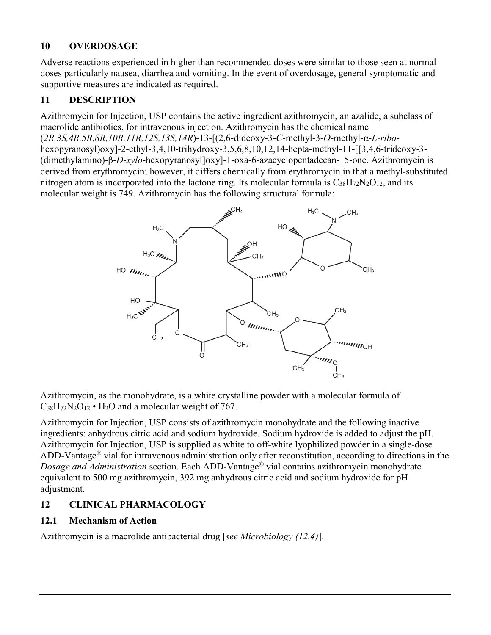## **10 OVERDOSAGE**

Adverse reactions experienced in higher than recommended doses were similar to those seen at normal doses particularly nausea, diarrhea and vomiting. In the event of overdosage, general symptomatic and supportive measures are indicated as required.

# **11 DESCRIPTION**

Azithromycin for Injection, USP contains the active ingredient azithromycin, an azalide, a subclass of macrolide antibiotics, for intravenous injection. Azithromycin has the chemical name (*2R,3S,4R,5R,8R,10R,11R,12S,13S,14R*)-13-[(2,6-dideoxy-3-*C*-methyl-3-*O*-methyl-α-*L-ribo*hexopyranosyl)oxy]-2-ethyl-3,4,10-trihydroxy-3,5,6,8,10,12,14-hepta-methyl-11-[[3,4,6-trideoxy-3- (dimethylamino)-β-*D*-*xylo*-hexopyranosyl]oxy]-1-oxa-6-azacyclopentadecan-15-one. Azithromycin is derived from erythromycin; however, it differs chemically from erythromycin in that a methyl-substituted nitrogen atom is incorporated into the lactone ring. Its molecular formula is  $C_{38}H_{72}N_2O_{12}$ , and its molecular weight is 749. Azithromycin has the following structural formula:



Azithromycin, as the monohydrate, is a white crystalline powder with a molecular formula of  $C_{38}H_{72}N_2O_{12}$  •  $H_2O$  and a molecular weight of 767.

Azithromycin for Injection, USP consists of azithromycin monohydrate and the following inactive ingredients: anhydrous citric acid and sodium hydroxide. Sodium hydroxide is added to adjust the pH. Azithromycin for Injection, USP is supplied as white to off-white lyophilized powder in a single-dose ADD-Vantage® vial for intravenous administration only after reconstitution, according to directions in the *Dosage and Administration* section. Each ADD-Vantage ® vial contains azithromycin monohydrate equivalent to 500 mg azithromycin, 392 mg anhydrous citric acid and sodium hydroxide for pH adjustment.

# **12 CLINICAL PHARMACOLOGY**

# **12.1 Mechanism of Action**

Azithromycin is a macrolide antibacterial drug [*see Microbiology (12.4)*].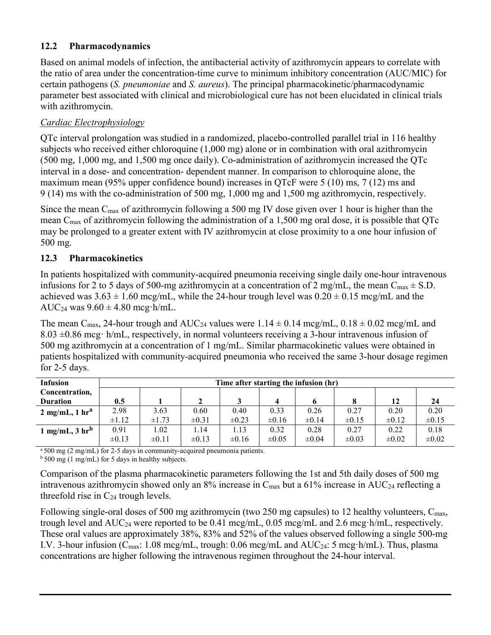# **12.2 Pharmacodynamics**

Based on animal models of infection, the antibacterial activity of azithromycin appears to correlate with the ratio of area under the concentration-time curve to minimum inhibitory concentration (AUC/MIC) for certain pathogens (*S. pneumoniae* and *S. aureus*). The principal pharmacokinetic/pharmacodynamic parameter best associated with clinical and microbiological cure has not been elucidated in clinical trials with azithromycin.

# *Cardiac Electrophysiology*

QTc interval prolongation was studied in a randomized, placebo-controlled parallel trial in 116 healthy subjects who received either chloroquine (1,000 mg) alone or in combination with oral azithromycin (500 mg, 1,000 mg, and 1,500 mg once daily). Co-administration of azithromycin increased the QTc interval in a dose- and concentration- dependent manner. In comparison to chloroquine alone, the maximum mean (95% upper confidence bound) increases in QTcF were 5 (10) ms, 7 (12) ms and 9 (14) ms with the co-administration of 500 mg, 1,000 mg and 1,500 mg azithromycin, respectively.

Since the mean Cmax of azithromycin following a 500 mg IV dose given over 1 hour is higher than the mean Cmax of azithromycin following the administration of a 1,500 mg oral dose, it is possible that QTc may be prolonged to a greater extent with IV azithromycin at close proximity to a one hour infusion of 500 mg.

# **12.3 Pharmacokinetics**

In patients hospitalized with community-acquired pneumonia receiving single daily one-hour intravenous infusions for 2 to 5 days of 500-mg azithromycin at a concentration of 2 mg/mL, the mean  $C_{\text{max}} \pm$  S.D. achieved was  $3.63 \pm 1.60$  mcg/mL, while the 24-hour trough level was  $0.20 \pm 0.15$  mcg/mL and the AUC<sub>24</sub> was  $9.60 \pm 4.80$  mcg·h/mL.

The mean C<sub>max</sub>, 24-hour trough and AUC<sub>24</sub> values were  $1.14 \pm 0.14$  mcg/mL,  $0.18 \pm 0.02$  mcg/mL and  $8.03 \pm 0.86$  mcg· h/mL, respectively, in normal volunteers receiving a 3-hour intravenous infusion of 500 mg azithromycin at a concentration of 1 mg/mL. Similar pharmacokinetic values were obtained in patients hospitalized with community-acquired pneumonia who received the same 3-hour dosage regimen for 2-5 days.

| <b>Infusion</b>                       |            | Time after starting the infusion (hr) |            |            |            |            |            |            |            |
|---------------------------------------|------------|---------------------------------------|------------|------------|------------|------------|------------|------------|------------|
| Concentration,                        |            |                                       |            |            |            |            |            |            |            |
| <b>Duration</b>                       | 0.5        |                                       |            |            |            |            |            | 12         | 24         |
| $2 \text{ mg/mL}$ , 1 hr <sup>a</sup> | 2.98       | 3.63                                  | 0.60       | 0.40       | 0.33       | 0.26       | 0.27       | 0.20       | 0.20       |
|                                       | $\pm 1.12$ | $\pm 1.73$                            | $\pm 0.31$ | $\pm 0.23$ | $\pm 0.16$ | $\pm 0.14$ | $\pm 0.15$ | $\pm 0.12$ | $\pm 0.15$ |
| 1 mg/mL, 3 $hr^b$                     | 0.91       | 1.02                                  | l.14       | 1.13       | 0.32       | 0.28       | 0.27       | 0.22       | 0.18       |
|                                       | $\pm 0.13$ | $\pm 0.11$                            | $\pm 0.13$ | $\pm 0.16$ | $\pm 0.05$ | $\pm 0.04$ | $\pm 0.03$ | $\pm 0.02$ | $\pm 0.02$ |

<sup>a</sup> 500 mg (2 mg/mL) for 2-5 days in community-acquired pneumonia patients.

 $b$  500 mg (1 mg/mL) for 5 days in healthy subjects.

Comparison of the plasma pharmacokinetic parameters following the 1st and 5th daily doses of 500 mg intravenous azithromycin showed only an 8% increase in  $C_{\text{max}}$  but a 61% increase in AUC<sub>24</sub> reflecting a threefold rise in  $C_{24}$  trough levels.

Following single-oral doses of 500 mg azithromycin (two 250 mg capsules) to 12 healthy volunteers, C<sub>max</sub>, trough level and  $AUC_{24}$  were reported to be 0.41 mcg/mL, 0.05 mcg/mL and 2.6 mcg·h/mL, respectively. These oral values are approximately 38%, 83% and 52% of the values observed following a single 500-mg I.V. 3-hour infusion ( $C_{\text{max}}$ : 1.08 mcg/mL, trough: 0.06 mcg/mL and  $\text{AUC}_{24}$ : 5 mcg·h/mL). Thus, plasma concentrations are higher following the intravenous regimen throughout the 24-hour interval.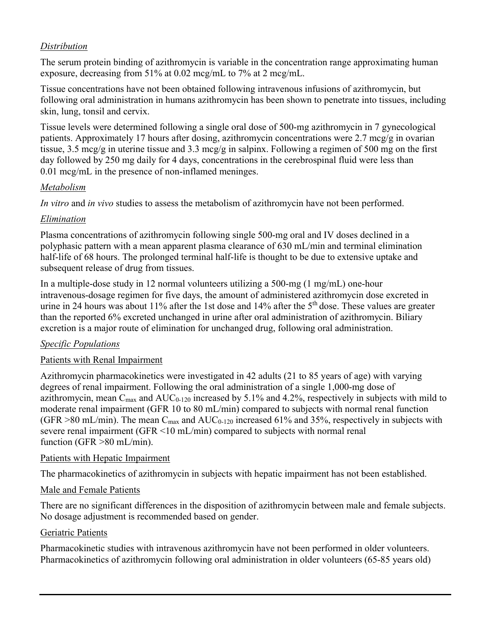## *Distribution*

The serum protein binding of azithromycin is variable in the concentration range approximating human exposure, decreasing from 51% at 0.02 mcg/mL to 7% at 2 mcg/mL.

Tissue concentrations have not been obtained following intravenous infusions of azithromycin, but following oral administration in humans azithromycin has been shown to penetrate into tissues, including skin, lung, tonsil and cervix.

Tissue levels were determined following a single oral dose of 500-mg azithromycin in 7 gynecological patients. Approximately 17 hours after dosing, azithromycin concentrations were 2.7 mcg/g in ovarian tissue, 3.5 mcg/g in uterine tissue and 3.3 mcg/g in salpinx. Following a regimen of 500 mg on the first day followed by 250 mg daily for 4 days, concentrations in the cerebrospinal fluid were less than 0.01 mcg/mL in the presence of non-inflamed meninges.

## *Metabolism*

*In vitro* and *in vivo* studies to assess the metabolism of azithromycin have not been performed.

# *Elimination*

Plasma concentrations of azithromycin following single 500-mg oral and IV doses declined in a polyphasic pattern with a mean apparent plasma clearance of 630 mL/min and terminal elimination half-life of 68 hours. The prolonged terminal half-life is thought to be due to extensive uptake and subsequent release of drug from tissues.

In a multiple-dose study in 12 normal volunteers utilizing a 500-mg (1 mg/mL) one-hour intravenous-dosage regimen for five days, the amount of administered azithromycin dose excreted in urine in 24 hours was about 11% after the 1st dose and 14% after the 5<sup>th</sup> dose. These values are greater than the reported 6% excreted unchanged in urine after oral administration of azithromycin. Biliary excretion is a major route of elimination for unchanged drug, following oral administration.

# *Specific Populations*

# Patients with Renal Impairment

Azithromycin pharmacokinetics were investigated in 42 adults (21 to 85 years of age) with varying degrees of renal impairment. Following the oral administration of a single 1,000-mg dose of azithromycin, mean  $C_{\text{max}}$  and  $AUC_{0-120}$  increased by 5.1% and 4.2%, respectively in subjects with mild to moderate renal impairment (GFR 10 to 80 mL/min) compared to subjects with normal renal function (GFR >80 mL/min). The mean  $C_{\text{max}}$  and  $AUC_{0-120}$  increased 61% and 35%, respectively in subjects with severe renal impairment (GFR <10 mL/min) compared to subjects with normal renal function (GFR >80 mL/min).

# Patients with Hepatic Impairment

The pharmacokinetics of azithromycin in subjects with hepatic impairment has not been established.

# Male and Female Patients

There are no significant differences in the disposition of azithromycin between male and female subjects. No dosage adjustment is recommended based on gender.

## Geriatric Patients

Pharmacokinetic studies with intravenous azithromycin have not been performed in older volunteers. Pharmacokinetics of azithromycin following oral administration in older volunteers (65-85 years old)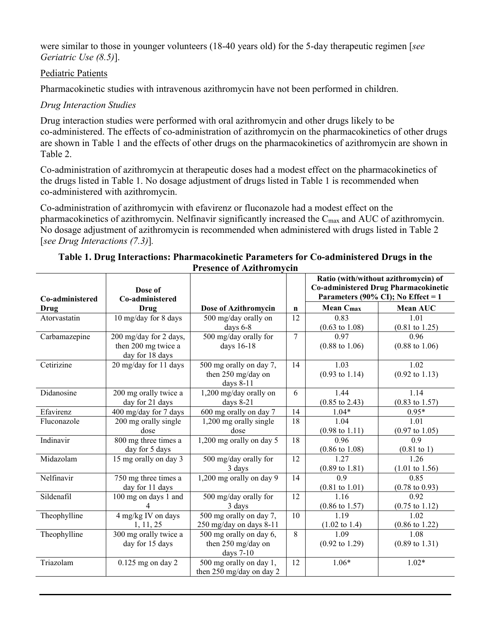were similar to those in younger volunteers (18-40 years old) for the 5-day therapeutic regimen [*see Geriatric Use (8.5)*].

## Pediatric Patients

Pharmacokinetic studies with intravenous azithromycin have not been performed in children.

## *Drug Interaction Studies*

Drug interaction studies were performed with oral azithromycin and other drugs likely to be co-administered. The effects of co-administration of azithromycin on the pharmacokinetics of other drugs are shown in Table 1 and the effects of other drugs on the pharmacokinetics of azithromycin are shown in Table 2.

Co-administration of azithromycin at therapeutic doses had a modest effect on the pharmacokinetics of the drugs listed in Table 1. No dosage adjustment of drugs listed in Table 1 is recommended when co-administered with azithromycin.

Co-administration of azithromycin with efavirenz or fluconazole had a modest effect on the pharmacokinetics of azithromycin. Nelfinavir significantly increased the Cmax and AUC of azithromycin. No dosage adjustment of azithromycin is recommended when administered with drugs listed in Table 2 [*see Drug Interactions (7.3)*]*.*

| Co-administered | Dose of<br>Co-administered                                       | 1 I CSCHCC OI <i>TYLI</i> III OIII                         |                | Ratio (with/without azithromycin) of<br><b>Co-administered Drug Pharmacokinetic</b><br>Parameters (90% CI); No Effect = $1$ |                                   |
|-----------------|------------------------------------------------------------------|------------------------------------------------------------|----------------|-----------------------------------------------------------------------------------------------------------------------------|-----------------------------------|
| Drug            | Drug                                                             | Dose of Azithromycin                                       | $\mathbf n$    | <b>Mean Cmax</b>                                                                                                            | Mean AUC                          |
| Atorvastatin    | 10 mg/day for 8 days                                             | 500 mg/day orally on<br>days 6-8                           | 12             | 0.83<br>$(0.63 \text{ to } 1.08)$                                                                                           | 1.01<br>$(0.81 \text{ to } 1.25)$ |
| Carbamazepine   | 200 mg/day for 2 days,<br>then 200 mg twice a<br>day for 18 days | 500 mg/day orally for<br>days 16-18                        | $\overline{7}$ | 0.97<br>$(0.88 \text{ to } 1.06)$                                                                                           | 0.96<br>$(0.88 \text{ to } 1.06)$ |
| Cetirizine      | 20 mg/day for 11 days                                            | 500 mg orally on day 7,<br>then 250 mg/day on<br>days 8-11 | 14             | 1.03<br>$(0.93 \text{ to } 1.14)$                                                                                           | 1.02<br>$(0.92 \text{ to } 1.13)$ |
| Didanosine      | 200 mg orally twice a<br>day for 21 days                         | 1,200 mg/day orally on<br>days $8-21$                      | 6              | 1.44<br>$(0.85 \text{ to } 2.43)$                                                                                           | 1.14<br>$(0.83 \text{ to } 1.57)$ |
| Efavirenz       | 400 mg/day for 7 days                                            | 600 mg orally on day 7                                     | 14             | $1.04*$                                                                                                                     | $0.95*$                           |
| Fluconazole     | 200 mg orally single<br>dose                                     | 1,200 mg orally single<br>dose                             | 18             | 1.04<br>$(0.98 \text{ to } 1.11)$                                                                                           | 1.01<br>$(0.97 \text{ to } 1.05)$ |
| Indinavir       | 800 mg three times a<br>day for 5 days                           | 1,200 mg orally on day 5                                   | 18             | 0.96<br>$(0.86 \text{ to } 1.08)$                                                                                           | 0.9<br>$(0.81 \text{ to } 1)$     |
| Midazolam       | 15 mg orally on day 3                                            | 500 mg/day orally for<br>3 days                            | 12             | 1.27<br>$(0.89 \text{ to } 1.81)$                                                                                           | 1.26<br>$(1.01 \text{ to } 1.56)$ |
| Nelfinavir      | 750 mg three times a<br>day for 11 days                          | 1,200 mg orally on day 9                                   | 14             | 0.9<br>$(0.81 \text{ to } 1.01)$                                                                                            | 0.85<br>$(0.78 \text{ to } 0.93)$ |
| Sildenafil      | 100 mg on days 1 and<br>4                                        | 500 mg/day orally for<br>3 days                            | 12             | 1.16<br>$(0.86 \text{ to } 1.57)$                                                                                           | 0.92<br>$(0.75 \text{ to } 1.12)$ |
| Theophylline    | 4 mg/kg IV on days<br>1, 11, 25                                  | 500 mg orally on day 7,<br>250 mg/day on days 8-11         | 10             | 1.19<br>$(1.02 \text{ to } 1.4)$                                                                                            | 1.02<br>$(0.86 \text{ to } 1.22)$ |
| Theophylline    | 300 mg orally twice a<br>day for 15 days                         | 500 mg orally on day 6,<br>then 250 mg/day on<br>days 7-10 | 8              | 1.09<br>$(0.92 \text{ to } 1.29)$                                                                                           | 1.08<br>$(0.89 \text{ to } 1.31)$ |
| Triazolam       | $0.125$ mg on day 2                                              | 500 mg orally on day 1,<br>then 250 mg/day on day 2        | 12             | $1.06*$                                                                                                                     | $1.02*$                           |

## **Table 1. Drug Interactions: Pharmacokinetic Parameters for Co-administered Drugs in the Presence of Azithromycin**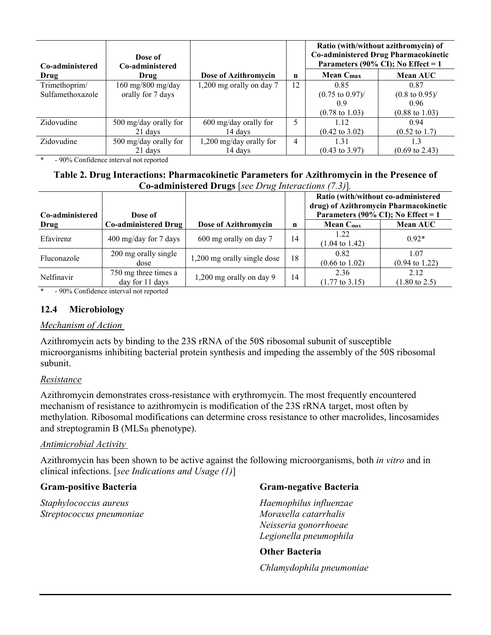| Co-administered  | Dose of<br>Co-administered |                          |    | Ratio (with/without azithromycin) of<br>Co-administered Drug Pharmacokinetic<br>Parameters (90% CI); No Effect = $1$ |                            |  |
|------------------|----------------------------|--------------------------|----|----------------------------------------------------------------------------------------------------------------------|----------------------------|--|
| Drug             | Drug                       | Dose of Azithromycin     | n  | <b>Mean Cmax</b>                                                                                                     | <b>Mean AUC</b>            |  |
| Trimethoprim/    | 160 mg/800 mg/day          | 1,200 mg orally on day 7 | 12 | 0.85                                                                                                                 | 0.87                       |  |
| Sulfamethoxazole | orally for 7 days          |                          |    | $(0.75 \text{ to } 0.97)$ /                                                                                          | $(0.8 \text{ to } 0.95)$ / |  |
|                  |                            |                          |    | 0.9                                                                                                                  | 0.96                       |  |
|                  |                            |                          |    | $(0.78 \text{ to } 1.03)$                                                                                            | $(0.88 \text{ to } 1.03)$  |  |
| Zidovudine       | 500 mg/day orally for      | $600$ mg/day orally for  | 5  | 1.12                                                                                                                 | 0.94                       |  |
|                  | 21 days                    | 14 days                  |    | $(0.42 \text{ to } 3.02)$                                                                                            | $(0.52 \text{ to } 1.7)$   |  |
| Zidovudine       | 500 mg/day orally for      | 1,200 mg/day orally for  | 4  | 1.31                                                                                                                 | 1.3                        |  |
|                  | 21 days                    | 14 days                  |    | $(0.43 \text{ to } 3.97)$                                                                                            | $(0.69 \text{ to } 2.43)$  |  |

- 90% Confidence interval not reported

### **Table 2. Drug Interactions: Pharmacokinetic Parameters for Azithromycin in the Presence of Co-administered Drugs** [*see Drug Interactions (7.3)*]*.*

| Co-administered | Dose of                                 |                             |    | Ratio (with/without co-administered<br>drug) of Azithromycin Pharmacokinetic<br>Parameters (90% CI); No Effect = $1$ |                                   |
|-----------------|-----------------------------------------|-----------------------------|----|----------------------------------------------------------------------------------------------------------------------|-----------------------------------|
| Drug            | <b>Co-administered Drug</b>             | Dose of Azithromycin        | n  | Mean $C_{\text{max}}$                                                                                                | <b>Mean AUC</b>                   |
| Efavirenz       | $400 \text{ mg/day}$ for 7 days         | 600 mg orally on day 7      | 14 | 1.22<br>$(1.04 \text{ to } 1.42)$                                                                                    | $0.92*$                           |
| Fluconazole     | 200 mg orally single<br>dose            | 1,200 mg orally single dose | 18 | 0.82<br>$(0.66 \text{ to } 1.02)$                                                                                    | 1.07<br>$(0.94 \text{ to } 1.22)$ |
| Nelfinavir      | 750 mg three times a<br>day for 11 days | 1,200 mg orally on day 9    | 14 | 2.36<br>$(1.77 \text{ to } 3.15)$                                                                                    | 2.12<br>$(1.80 \text{ to } 2.5)$  |

- 90% Confidence interval not reported

## **12.4 Microbiology**

### *Mechanism of Action*

Azithromycin acts by binding to the 23S rRNA of the 50S ribosomal subunit of susceptible microorganisms inhibiting bacterial protein synthesis and impeding the assembly of the 50S ribosomal subunit.

### *Resistance*

Azithromycin demonstrates cross-resistance with erythromycin. The most frequently encountered mechanism of resistance to azithromycin is modification of the 23S rRNA target, most often by methylation. Ribosomal modifications can determine cross resistance to other macrolides, lincosamides and streptogramin B (MLS<sub>B</sub> phenotype).

### *Antimicrobial Activity*

Azithromycin has been shown to be active against the following microorganisms, both *in vitro* and in clinical infections. [*see Indications and Usage (1)*]

## **Gram-positive Bacteria**

*Staphylococcus aureus Streptococcus pneumoniae*

## **Gram-negative Bacteria**

*Haemophilus influenzae Moraxella catarrhalis Neisseria gonorrhoeae Legionella pneumophila* 

## **Other Bacteria**

*Chlamydophila pneumoniae*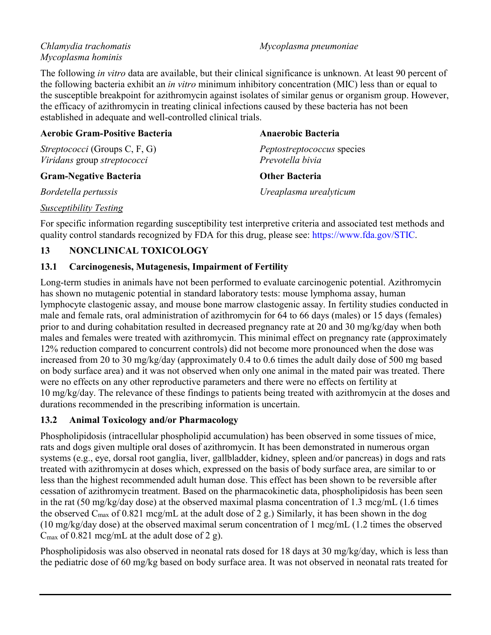## *Chlamydia trachomatis Mycoplasma hominis*

*Mycoplasma pneumoniae* 

The following *in vitro* data are available, but their clinical significance is unknown. At least 90 percent of the following bacteria exhibit an *in vitro* minimum inhibitory concentration (MIC) less than or equal to the susceptible breakpoint for azithromycin against isolates of similar genus or organism group. However, the efficacy of azithromycin in treating clinical infections caused by these bacteria has not been established in adequate and well-controlled clinical trials.

| <b>Aerobic Gram-Positive Bacteria</b>                               | <b>Anaerobic Bacteria</b>                             |
|---------------------------------------------------------------------|-------------------------------------------------------|
| <i>Streptococci</i> (Groups C, F, G)<br>Viridans group streptococci | <i>Peptostreptococcus</i> species<br>Prevotella bivia |
| <b>Gram-Negative Bacteria</b>                                       | <b>Other Bacteria</b>                                 |
| Bordetella pertussis                                                | Ureaplasma urealyticum                                |
|                                                                     |                                                       |

## *Susceptibility Testing*

For specific information regarding susceptibility test interpretive criteria and associated test methods and quality control standards recognized by FDA for this drug, please see: [https://www.fda.gov/STIC.](https://www.fda.gov/STIC)

## **13 NONCLINICAL TOXICOLOGY**

## **13.1 Carcinogenesis, Mutagenesis, Impairment of Fertility**

Long-term studies in animals have not been performed to evaluate carcinogenic potential. Azithromycin has shown no mutagenic potential in standard laboratory tests: mouse lymphoma assay, human lymphocyte clastogenic assay, and mouse bone marrow clastogenic assay. In fertility studies conducted in male and female rats, oral administration of azithromycin for 64 to 66 days (males) or 15 days (females) prior to and during cohabitation resulted in decreased pregnancy rate at 20 and 30 mg/kg/day when both males and females were treated with azithromycin. This minimal effect on pregnancy rate (approximately 12% reduction compared to concurrent controls) did not become more pronounced when the dose was increased from 20 to 30 mg/kg/day (approximately 0.4 to 0.6 times the adult daily dose of 500 mg based on body surface area) and it was not observed when only one animal in the mated pair was treated. There were no effects on any other reproductive parameters and there were no effects on fertility at 10 mg/kg/day. The relevance of these findings to patients being treated with azithromycin at the doses and durations recommended in the prescribing information is uncertain.

# **13.2 Animal Toxicology and/or Pharmacology**

Phospholipidosis (intracellular phospholipid accumulation) has been observed in some tissues of mice, rats and dogs given multiple oral doses of azithromycin. It has been demonstrated in numerous organ systems (e.g., eye, dorsal root ganglia, liver, gallbladder, kidney, spleen and/or pancreas) in dogs and rats treated with azithromycin at doses which, expressed on the basis of body surface area, are similar to or less than the highest recommended adult human dose. This effect has been shown to be reversible after cessation of azithromycin treatment. Based on the pharmacokinetic data, phospholipidosis has been seen in the rat (50 mg/kg/day dose) at the observed maximal plasma concentration of 1.3 mcg/mL (1.6 times the observed  $C_{\text{max}}$  of 0.821 mcg/mL at the adult dose of 2 g.) Similarly, it has been shown in the dog (10 mg/kg/day dose) at the observed maximal serum concentration of 1 mcg/mL (1.2 times the observed  $C_{\text{max}}$  of 0.821 mcg/mL at the adult dose of 2 g).

Phospholipidosis was also observed in neonatal rats dosed for 18 days at 30 mg/kg/day, which is less than the pediatric dose of 60 mg/kg based on body surface area. It was not observed in neonatal rats treated for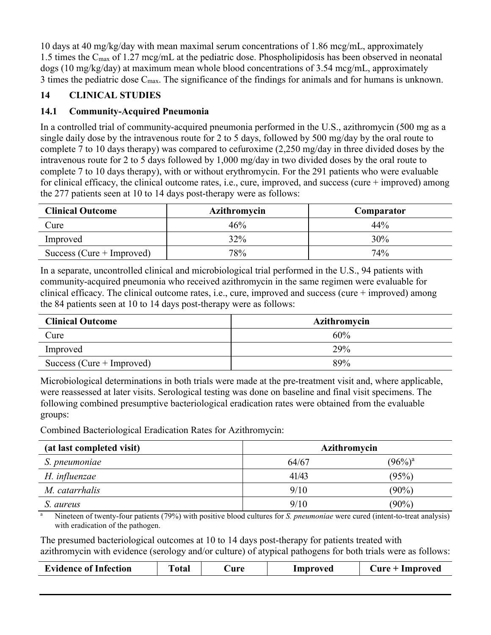10 days at 40 mg/kg/day with mean maximal serum concentrations of 1.86 mcg/mL, approximately 1.5 times the C<sub>max</sub> of 1.27 mcg/mL at the pediatric dose. Phospholipidosis has been observed in neonatal dogs (10 mg/kg/day) at maximum mean whole blood concentrations of 3.54 mcg/mL, approximately 3 times the pediatric dose  $C_{\text{max}}$ . The significance of the findings for animals and for humans is unknown.

# **14 CLINICAL STUDIES**

## **14.1 Community-Acquired Pneumonia**

In a controlled trial of community-acquired pneumonia performed in the U.S., azithromycin (500 mg as a single daily dose by the intravenous route for 2 to 5 days, followed by 500 mg/day by the oral route to complete 7 to 10 days therapy) was compared to cefuroxime (2,250 mg/day in three divided doses by the intravenous route for 2 to 5 days followed by 1,000 mg/day in two divided doses by the oral route to complete 7 to 10 days therapy), with or without erythromycin. For the 291 patients who were evaluable for clinical efficacy, the clinical outcome rates, i.e., cure, improved, and success (cure + improved) among the 277 patients seen at 10 to 14 days post-therapy were as follows:

| <b>Clinical Outcome</b>     | <b>Azithromycin</b> | Comparator |
|-----------------------------|---------------------|------------|
| Cure                        | 46%                 | 44%        |
| Improved                    | 32%                 | 30%        |
| Success (Cure $+$ Improved) | 78%                 | 74%        |

In a separate, uncontrolled clinical and microbiological trial performed in the U.S., 94 patients with community-acquired pneumonia who received azithromycin in the same regimen were evaluable for clinical efficacy. The clinical outcome rates, i.e., cure, improved and success (cure + improved) among the 84 patients seen at 10 to 14 days post-therapy were as follows:

| <b>Clinical Outcome</b>     | Azithromycin |
|-----------------------------|--------------|
| Cure                        | 60%          |
| Improved                    | 29%          |
| Success (Cure $+$ Improved) | 89%          |

Microbiological determinations in both trials were made at the pre-treatment visit and, where applicable, were reassessed at later visits. Serological testing was done on baseline and final visit specimens. The following combined presumptive bacteriological eradication rates were obtained from the evaluable groups:

Combined Bacteriological Eradication Rates for Azithromycin:

| (at last completed visit) | Azithromycin |            |
|---------------------------|--------------|------------|
| S. pneumoniae             | 64/67        | $(96\%)^a$ |
| H. influenzae             | 41/43        | (95%)      |
| M. catarrhalis            | 9/10         | $(90\%)$   |
| S. aureus                 | 9/10         | $(90\%)$   |

<sup>a</sup> Nineteen of twenty-four patients (79%) with positive blood cultures for *S. pneumoniae* were cured (intent-to-treat analysis) with eradication of the pathogen.

The presumed bacteriological outcomes at 10 to 14 days post-therapy for patients treated with azithromycin with evidence (serology and/or culture) of atypical pathogens for both trials were as follows:

| <b>Evidence of Infection</b> | `otal | 'ure | Improved | $C$ ure + Improved |
|------------------------------|-------|------|----------|--------------------|
|                              |       |      |          |                    |